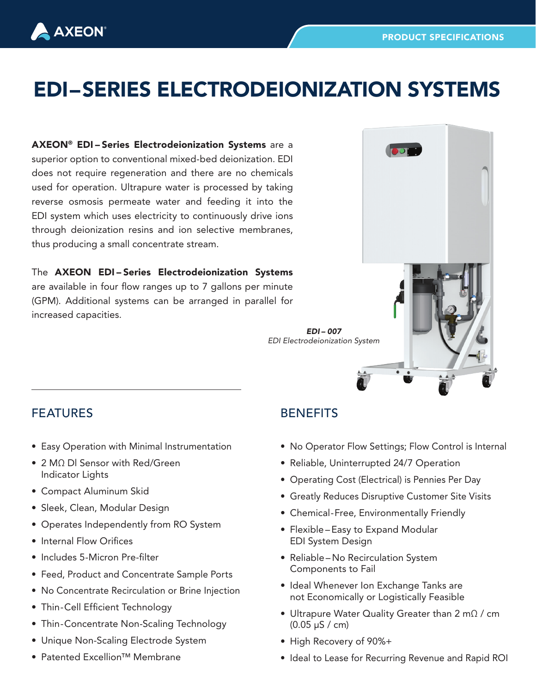## EDI–SERIES ELECTRODEIONIZATION SYSTEMS

AXEON® EDI – Series Electrodeionization Systems are a superior option to conventional mixed-bed deionization. EDI does not require regeneration and there are no chemicals used for operation. Ultrapure water is processed by taking reverse osmosis permeate water and feeding it into the EDI system which uses electricity to continuously drive ions through deionization resins and ion selective membranes, thus producing a small concentrate stream.

The **AXEON EDI-Series Electrodeionization Systems** are available in four flow ranges up to 7 gallons per minute (GPM). Additional systems can be arranged in parallel for increased capacities.



## FEATURES

**AXEON** 

- Easy Operation with Minimal Instrumentation
- 2 MΩ DI Sensor with Red/Green Indicator Lights
- Compact Aluminum Skid
- Sleek, Clean, Modular Design
- Operates Independently from RO System
- Internal Flow Orifices
- Includes 5-Micron Pre-filter
- Feed, Product and Concentrate Sample Ports
- No Concentrate Recirculation or Brine Injection
- Thin-Cell Efficient Technology
- Thin-Concentrate Non-Scaling Technology
- Unique Non-Scaling Electrode System
- Patented Excellion™ Membrane

## **BENEFITS**

- No Operator Flow Settings; Flow Control is Internal
- Reliable, Uninterrupted 24/7 Operation
- Operating Cost (Electrical) is Pennies Per Day
- Greatly Reduces Disruptive Customer Site Visits
- Chemical-Free, Environmentally Friendly
- Flexible Easy to Expand Modular EDI System Design
- Reliable No Recirculation System Components to Fail
- Ideal Whenever Ion Exchange Tanks are not Economically or Logistically Feasible
- Ultrapure Water Quality Greater than 2 mΩ / cm (0.05 µS / cm)
- High Recovery of 90%+
- Ideal to Lease for Recurring Revenue and Rapid ROI